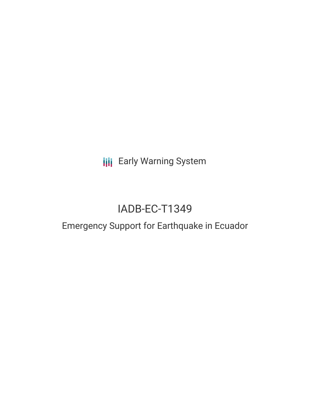**III** Early Warning System

# IADB-EC-T1349

## Emergency Support for Earthquake in Ecuador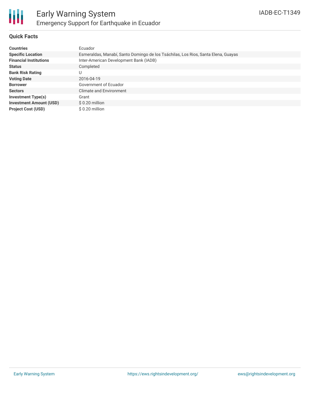

#### **Quick Facts**

| <b>Countries</b>               | Ecuador                                                                           |
|--------------------------------|-----------------------------------------------------------------------------------|
| <b>Specific Location</b>       | Esmeraldas, Manabí, Santo Domingo de los Tsáchilas, Los Rios, Santa Elena, Guayas |
| <b>Financial Institutions</b>  | Inter-American Development Bank (IADB)                                            |
| <b>Status</b>                  | Completed                                                                         |
| <b>Bank Risk Rating</b>        | U                                                                                 |
| <b>Voting Date</b>             | 2016-04-19                                                                        |
| <b>Borrower</b>                | Government of Ecuador                                                             |
| <b>Sectors</b>                 | <b>Climate and Environment</b>                                                    |
| <b>Investment Type(s)</b>      | Grant                                                                             |
| <b>Investment Amount (USD)</b> | \$0.20 million                                                                    |
| <b>Project Cost (USD)</b>      | \$0.20 million                                                                    |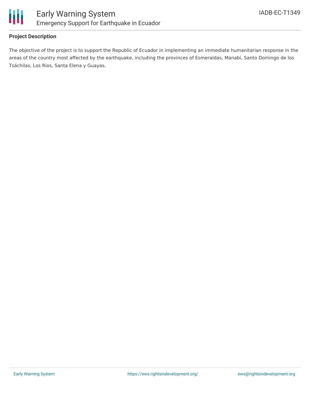

#### **Project Description**

The objective of the project is to support the Republic of Ecuador in implementing an immediate humanitarian response in the areas of the country most affected by the earthquake, including the provinces of Esmeraldas, Manabí, Santo Domingo de los Tsáchilas, Los Rios, Santa Elena y Guayas.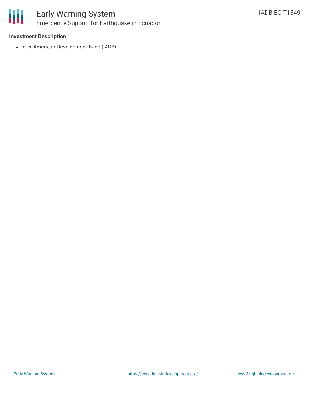

## Early Warning System Emergency Support for Earthquake in Ecuador

#### **Investment Description**

• Inter-American Development Bank (IADB)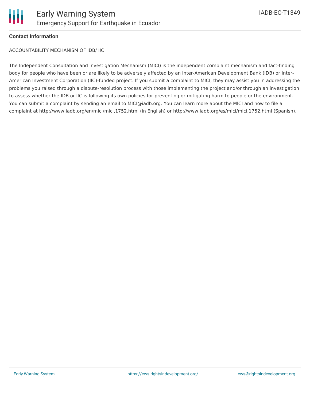#### **Contact Information**

ACCOUNTABILITY MECHANISM OF IDB/ IIC

The Independent Consultation and Investigation Mechanism (MICI) is the independent complaint mechanism and fact-finding body for people who have been or are likely to be adversely affected by an Inter-American Development Bank (IDB) or Inter-American Investment Corporation (IIC)-funded project. If you submit a complaint to MICI, they may assist you in addressing the problems you raised through a dispute-resolution process with those implementing the project and/or through an investigation to assess whether the IDB or IIC is following its own policies for preventing or mitigating harm to people or the environment. You can submit a complaint by sending an email to MICI@iadb.org. You can learn more about the MICI and how to file a complaint at http://www.iadb.org/en/mici/mici,1752.html (in English) or http://www.iadb.org/es/mici/mici,1752.html (Spanish).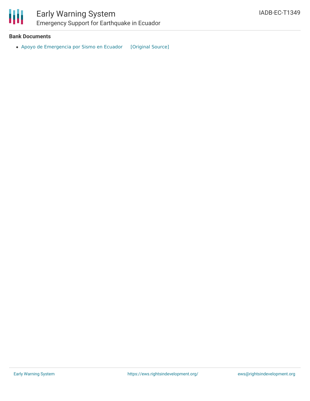

### Early Warning System Emergency Support for Earthquake in Ecuador

#### **Bank Documents**

• Apoyo de [Emergencia](https://ewsdata.rightsindevelopment.org/files/documents/49/IADB-EC-T1349.pdf) por Sismo en Ecuador [\[Original](http://www.iadb.org/Document.cfm?id=40252273) Source]